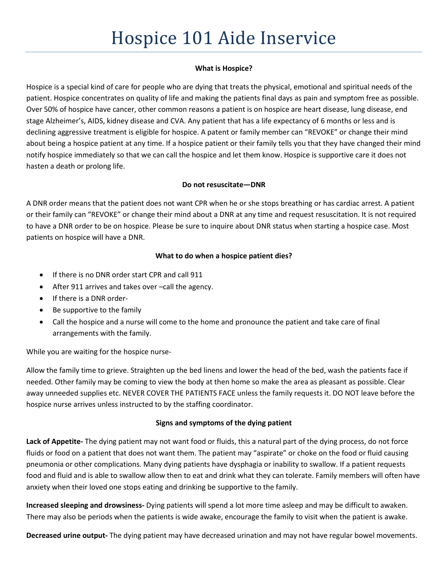# **What is Hospice?**

Hospice is a special kind of care for people who are dying that treats the physical, emotional and spiritual needs of the patient. Hospice concentrates on quality of life and making the patients final days as pain and symptom free as possible. Over 50% of hospice have cancer, other common reasons a patient is on hospice are heart disease, lung disease, end stage Alzheimer's, AIDS, kidney disease and CVA. Any patient that has a life expectancy of 6 months or less and is declining aggressive treatment is eligible for hospice. A patent or family member can "REVOKE" or change their mind about being a hospice patient at any time. If a hospice patient or their family tells you that they have changed their mind notify hospice immediately so that we can call the hospice and let them know. Hospice is supportive care it does not hasten a death or prolong life.

## **Do not resuscitate—DNR**

A DNR order means that the patient does not want CPR when he or she stops breathing or has cardiac arrest. A patient or their family can "REVOKE" or change their mind about a DNR at any time and request resuscitation. It is not required to have a DNR order to be on hospice. Please be sure to inquire about DNR status when starting a hospice case. Most patients on hospice will have a DNR.

# **What to do when a hospice patient dies?**

- If there is no DNR order start CPR and call 911
- After 911 arrives and takes over –call the agency.
- If there is a DNR order-
- Be supportive to the family
- Call the hospice and a nurse will come to the home and pronounce the patient and take care of final arrangements with the family.

While you are waiting for the hospice nurse-

Allow the family time to grieve. Straighten up the bed linens and lower the head of the bed, wash the patients face if needed. Other family may be coming to view the body at then home so make the area as pleasant as possible. Clear away unneeded supplies etc. NEVER COVER THE PATIENTS FACE unless the family requests it. DO NOT leave before the hospice nurse arrives unless instructed to by the staffing coordinator.

# **Signs and symptoms of the dying patient**

**Lack of Appetite-** The dying patient may not want food or fluids, this a natural part of the dying process, do not force fluids or food on a patient that does not want them. The patient may "aspirate" or choke on the food or fluid causing pneumonia or other complications. Many dying patients have dysphagia or inability to swallow. If a patient requests food and fluid and is able to swallow allow then to eat and drink what they can tolerate. Family members will often have anxiety when their loved one stops eating and drinking be supportive to the family.

**Increased sleeping and drowsiness-** Dying patients will spend a lot more time asleep and may be difficult to awaken. There may also be periods when the patients is wide awake, encourage the family to visit when the patient is awake.

**Decreased urine output-** The dying patient may have decreased urination and may not have regular bowel movements.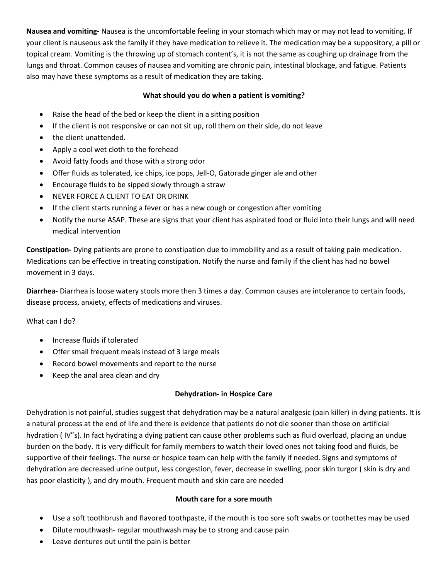**Nausea and vomiting-** Nausea is the uncomfortable feeling in your stomach which may or may not lead to vomiting. If your client is nauseous ask the family if they have medication to relieve it. The medication may be a suppository, a pill or topical cream. Vomiting is the throwing up of stomach content's, it is not the same as coughing up drainage from the lungs and throat. Common causes of nausea and vomiting are chronic pain, intestinal blockage, and fatigue. Patients also may have these symptoms as a result of medication they are taking.

## **What should you do when a patient is vomiting?**

- Raise the head of the bed or keep the client in a sitting position
- If the client is not responsive or can not sit up, roll them on their side, do not leave
- the client unattended.
- Apply a cool wet cloth to the forehead
- Avoid fatty foods and those with a strong odor
- Offer fluids as tolerated, ice chips, ice pops, Jell-O, Gatorade ginger ale and other
- Encourage fluids to be sipped slowly through a straw
- NEVER FORCE A CLIENT TO EAT OR DRINK
- If the client starts running a fever or has a new cough or congestion after vomiting
- Notify the nurse ASAP. These are signs that your client has aspirated food or fluid into their lungs and will need medical intervention

**Constipation-** Dying patients are prone to constipation due to immobility and as a result of taking pain medication. Medications can be effective in treating constipation. Notify the nurse and family if the client has had no bowel movement in 3 days.

**Diarrhea-** Diarrhea is loose watery stools more then 3 times a day. Common causes are intolerance to certain foods, disease process, anxiety, effects of medications and viruses.

What can I do?

- Increase fluids if tolerated
- Offer small frequent meals instead of 3 large meals
- Record bowel movements and report to the nurse
- Keep the anal area clean and dry

## **Dehydration- in Hospice Care**

Dehydration is not painful, studies suggest that dehydration may be a natural analgesic (pain killer) in dying patients. It is a natural process at the end of life and there is evidence that patients do not die sooner than those on artificial hydration ( IV"s). In fact hydrating a dying patient can cause other problems such as fluid overload, placing an undue burden on the body. It is very difficult for family members to watch their loved ones not taking food and fluids, be supportive of their feelings. The nurse or hospice team can help with the family if needed. Signs and symptoms of dehydration are decreased urine output, less congestion, fever, decrease in swelling, poor skin turgor ( skin is dry and has poor elasticity ), and dry mouth. Frequent mouth and skin care are needed

#### **Mouth care for a sore mouth**

- Use a soft toothbrush and flavored toothpaste, if the mouth is too sore soft swabs or toothettes may be used
- Dilute mouthwash- regular mouthwash may be to strong and cause pain
- Leave dentures out until the pain is better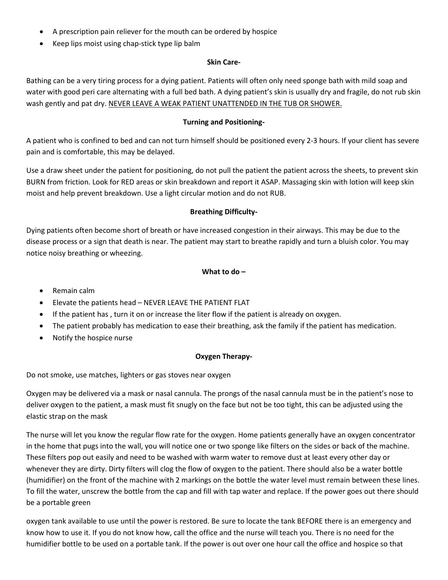- A prescription pain reliever for the mouth can be ordered by hospice
- Keep lips moist using chap-stick type lip balm

### **Skin Care-**

Bathing can be a very tiring process for a dying patient. Patients will often only need sponge bath with mild soap and water with good peri care alternating with a full bed bath. A dying patient's skin is usually dry and fragile, do not rub skin wash gently and pat dry. NEVER LEAVE A WEAK PATIENT UNATTENDED IN THE TUB OR SHOWER.

### **Turning and Positioning-**

A patient who is confined to bed and can not turn himself should be positioned every 2-3 hours. If your client has severe pain and is comfortable, this may be delayed.

Use a draw sheet under the patient for positioning, do not pull the patient the patient across the sheets, to prevent skin BURN from friction. Look for RED areas or skin breakdown and report it ASAP. Massaging skin with lotion will keep skin moist and help prevent breakdown. Use a light circular motion and do not RUB.

### **Breathing Difficulty-**

Dying patients often become short of breath or have increased congestion in their airways. This may be due to the disease process or a sign that death is near. The patient may start to breathe rapidly and turn a bluish color. You may notice noisy breathing or wheezing.

### **What to do –**

- Remain calm
- Elevate the patients head NEVER LEAVE THE PATIENT FLAT
- If the patient has , turn it on or increase the liter flow if the patient is already on oxygen.
- The patient probably has medication to ease their breathing, ask the family if the patient has medication.
- Notify the hospice nurse

## **Oxygen Therapy-**

Do not smoke, use matches, lighters or gas stoves near oxygen

Oxygen may be delivered via a mask or nasal cannula. The prongs of the nasal cannula must be in the patient's nose to deliver oxygen to the patient, a mask must fit snugly on the face but not be too tight, this can be adjusted using the elastic strap on the mask

The nurse will let you know the regular flow rate for the oxygen. Home patients generally have an oxygen concentrator in the home that pugs into the wall, you will notice one or two sponge like filters on the sides or back of the machine. These filters pop out easily and need to be washed with warm water to remove dust at least every other day or whenever they are dirty. Dirty filters will clog the flow of oxygen to the patient. There should also be a water bottle (humidifier) on the front of the machine with 2 markings on the bottle the water level must remain between these lines. To fill the water, unscrew the bottle from the cap and fill with tap water and replace. If the power goes out there should be a portable green

oxygen tank available to use until the power is restored. Be sure to locate the tank BEFORE there is an emergency and know how to use it. If you do not know how, call the office and the nurse will teach you. There is no need for the humidifier bottle to be used on a portable tank. If the power is out over one hour call the office and hospice so that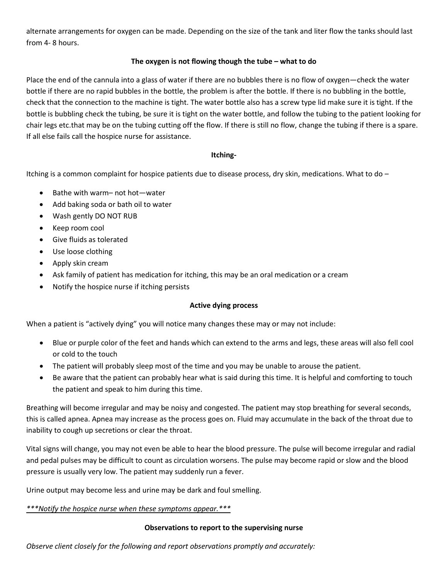alternate arrangements for oxygen can be made. Depending on the size of the tank and liter flow the tanks should last from 4- 8 hours.

# **The oxygen is not flowing though the tube – what to do**

Place the end of the cannula into a glass of water if there are no bubbles there is no flow of oxygen—check the water bottle if there are no rapid bubbles in the bottle, the problem is after the bottle. If there is no bubbling in the bottle, check that the connection to the machine is tight. The water bottle also has a screw type lid make sure it is tight. If the bottle is bubbling check the tubing, be sure it is tight on the water bottle, and follow the tubing to the patient looking for chair legs etc.that may be on the tubing cutting off the flow. If there is still no flow, change the tubing if there is a spare. If all else fails call the hospice nurse for assistance.

## **Itching-**

Itching is a common complaint for hospice patients due to disease process, dry skin, medications. What to do –

- Bathe with warm– not hot—water
- Add baking soda or bath oil to water
- Wash gently DO NOT RUB
- Keep room cool
- Give fluids as tolerated
- Use loose clothing
- Apply skin cream
- Ask family of patient has medication for itching, this may be an oral medication or a cream
- Notify the hospice nurse if itching persists

## **Active dying process**

When a patient is "actively dying" you will notice many changes these may or may not include:

- Blue or purple color of the feet and hands which can extend to the arms and legs, these areas will also fell cool or cold to the touch
- The patient will probably sleep most of the time and you may be unable to arouse the patient.
- Be aware that the patient can probably hear what is said during this time. It is helpful and comforting to touch the patient and speak to him during this time.

Breathing will become irregular and may be noisy and congested. The patient may stop breathing for several seconds, this is called apnea. Apnea may increase as the process goes on. Fluid may accumulate in the back of the throat due to inability to cough up secretions or clear the throat.

Vital signs will change, you may not even be able to hear the blood pressure. The pulse will become irregular and radial and pedal pulses may be difficult to count as circulation worsens. The pulse may become rapid or slow and the blood pressure is usually very low. The patient may suddenly run a fever.

Urine output may become less and urine may be dark and foul smelling.

## *\*\*\*Notify the hospice nurse when these symptoms appear.\*\*\**

#### **Observations to report to the supervising nurse**

*Observe client closely for the following and report observations promptly and accurately:*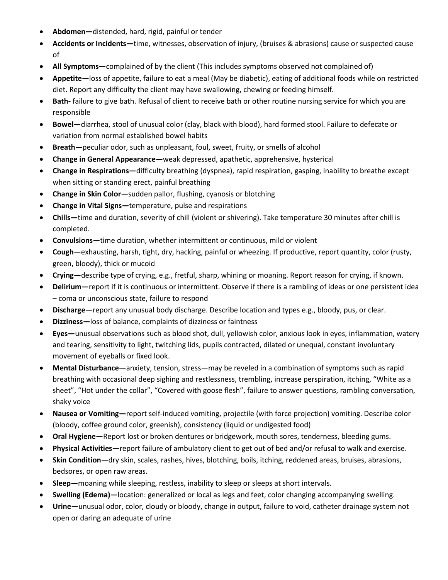- **Abdomen—**distended, hard, rigid, painful or tender
- **Accidents or Incidents—**time, witnesses, observation of injury, (bruises & abrasions) cause or suspected cause of
- **All Symptoms—**complained of by the client (This includes symptoms observed not complained of)
- **Appetite—**loss of appetite, failure to eat a meal (May be diabetic), eating of additional foods while on restricted diet. Report any difficulty the client may have swallowing, chewing or feeding himself.
- **Bath-** failure to give bath. Refusal of client to receive bath or other routine nursing service for which you are responsible
- **Bowel—**diarrhea, stool of unusual color (clay, black with blood), hard formed stool. Failure to defecate or variation from normal established bowel habits
- **Breath—**peculiar odor, such as unpleasant, foul, sweet, fruity, or smells of alcohol
- **Change in General Appearance—**weak depressed, apathetic, apprehensive, hysterical
- **Change in Respirations—**difficulty breathing (dyspnea), rapid respiration, gasping, inability to breathe except when sitting or standing erect, painful breathing
- **Change in Skin Color—**sudden pallor, flushing, cyanosis or blotching
- **Change in Vital Signs—**temperature, pulse and respirations
- **Chills—**time and duration, severity of chill (violent or shivering). Take temperature 30 minutes after chill is completed.
- **Convulsions—**time duration, whether intermittent or continuous, mild or violent
- **Cough—**exhausting, harsh, tight, dry, hacking, painful or wheezing. If productive, report quantity, color (rusty, green, bloody), thick or mucoid
- **Crying—**describe type of crying, e.g., fretful, sharp, whining or moaning. Report reason for crying, if known.
- **Delirium—**report if it is continuous or intermittent. Observe if there is a rambling of ideas or one persistent idea – coma or unconscious state, failure to respond
- **Discharge—**report any unusual body discharge. Describe location and types e.g., bloody, pus, or clear.
- **Dizziness—**loss of balance, complaints of dizziness or faintness
- **Eyes—**unusual observations such as blood shot, dull, yellowish color, anxious look in eyes, inflammation, watery and tearing, sensitivity to light, twitching lids, pupils contracted, dilated or unequal, constant involuntary movement of eyeballs or fixed look.
- **Mental Disturbance—**anxiety, tension, stress—may be reveled in a combination of symptoms such as rapid breathing with occasional deep sighing and restlessness, trembling, increase perspiration, itching, "White as a sheet", "Hot under the collar", "Covered with goose flesh", failure to answer questions, rambling conversation, shaky voice
- **Nausea or Vomiting—**report self-induced vomiting, projectile (with force projection) vomiting. Describe color (bloody, coffee ground color, greenish), consistency (liquid or undigested food)
- **Oral Hygiene—**Report lost or broken dentures or bridgework, mouth sores, tenderness, bleeding gums.
- **Physical Activities—**report failure of ambulatory client to get out of bed and/or refusal to walk and exercise.
- **Skin Condition—**dry skin, scales, rashes, hives, blotching, boils, itching, reddened areas, bruises, abrasions, bedsores, or open raw areas.
- **Sleep—**moaning while sleeping, restless, inability to sleep or sleeps at short intervals.
- **Swelling (Edema)—**location: generalized or local as legs and feet, color changing accompanying swelling.
- **Urine—**unusual odor, color, cloudy or bloody, change in output, failure to void, catheter drainage system not open or daring an adequate of urine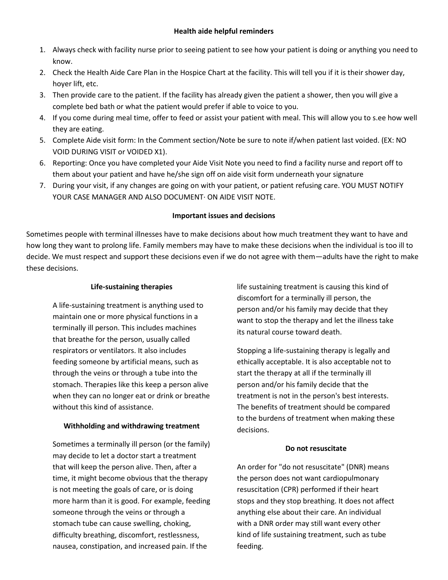- 1. Always check with facility nurse prior to seeing patient to see how your patient is doing or anything you need to know.
- 2. Check the Health Aide Care Plan in the Hospice Chart at the facility. This will tell you if it is their shower day, hoyer lift, etc.
- 3. Then provide care to the patient. If the facility has already given the patient a shower, then you will give a complete bed bath or what the patient would prefer if able to voice to you.
- 4. If you come during meal time, offer to feed or assist your patient with meal. This will allow you to s.ee how well they are eating.
- 5. Complete Aide visit form: In the Comment section/Note be sure to note if/when patient last voided. (EX: NO VOID DURING VISIT or VOIDED X1).
- 6. Reporting: Once you have completed your Aide Visit Note you need to find a facility nurse and report off to them about your patient and have he/she sign off on aide visit form underneath your signature
- 7. During your visit, if any changes are going on with your patient, or patient refusing care. YOU MUST NOTIFY YOUR CASE MANAGER AND ALSO DOCUMENT· ON AIDE VISIT NOTE.

# **Important issues and decisions**

Sometimes people with terminal illnesses have to make decisions about how much treatment they want to have and how long they want to prolong life. Family members may have to make these decisions when the individual is too ill to decide. We must respect and support these decisions even if we do not agree with them—adults have the right to make these decisions.

# **Life-sustaining therapies**

A life-sustaining treatment is anything used to maintain one or more physical functions in a terminally ill person. This includes machines that breathe for the person, usually called respirators or ventilators. It also includes feeding someone by artificial means, such as through the veins or through a tube into the stomach. Therapies like this keep a person alive when they can no longer eat or drink or breathe without this kind of assistance.

## **Withholding and withdrawing treatment**

Sometimes a terminally ill person (or the family) may decide to let a doctor start a treatment that will keep the person alive. Then, after a time, it might become obvious that the therapy is not meeting the goals of care, or is doing more harm than it is good. For example, feeding someone through the veins or through a stomach tube can cause swelling, choking, difficulty breathing, discomfort, restlessness, nausea, constipation, and increased pain. If the

life sustaining treatment is causing this kind of discomfort for a terminally ill person, the person and/or his family may decide that they want to stop the therapy and let the illness take its natural course toward death.

Stopping a life-sustaining therapy is legally and ethically acceptable. It is also acceptable not to start the therapy at all if the terminally ill person and/or his family decide that the treatment is not in the person's best interests. The benefits of treatment should be compared to the burdens of treatment when making these decisions.

## **Do not resuscitate**

An order for "do not resuscitate" (DNR) means the person does not want cardiopulmonary resuscitation (CPR) performed if their heart stops and they stop breathing. It does not affect anything else about their care. An individual with a DNR order may still want every other kind of life sustaining treatment, such as tube feeding.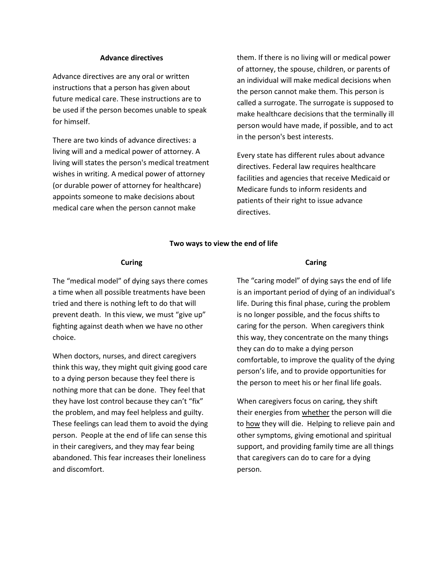#### **Advance directives**

Advance directives are any oral or written instructions that a person has given about future medical care. These instructions are to be used if the person becomes unable to speak for himself.

There are two kinds of advance directives: a living will and a medical power of attorney. A living will states the person's medical treatment wishes in writing. A medical power of attorney (or durable power of attorney for healthcare) appoints someone to make decisions about medical care when the person cannot make

them. If there is no living will or medical power of attorney, the spouse, children, or parents of an individual will make medical decisions when the person cannot make them. This person is called a surrogate. The surrogate is supposed to make healthcare decisions that the terminally ill person would have made, if possible, and to act in the person's best interests.

Every state has different rules about advance directives. Federal law requires healthcare facilities and agencies that receive Medicaid or Medicare funds to inform residents and patients of their right to issue advance directives.

#### **Two ways to view the end of life**

#### **Curing**

The "medical model" of dying says there comes a time when all possible treatments have been tried and there is nothing left to do that will prevent death. In this view, we must "give up" fighting against death when we have no other choice.

When doctors, nurses, and direct caregivers think this way, they might quit giving good care to a dying person because they feel there is nothing more that can be done. They feel that they have lost control because they can't "fix" the problem, and may feel helpless and guilty. These feelings can lead them to avoid the dying person. People at the end of life can sense this in their caregivers, and they may fear being abandoned. This fear increases their loneliness and discomfort.

#### **Caring**

The "caring model" of dying says the end of life is an important period of dying of an individual's life. During this final phase, curing the problem is no longer possible, and the focus shifts to caring for the person. When caregivers think this way, they concentrate on the many things they can do to make a dying person comfortable, to improve the quality of the dying person's life, and to provide opportunities for the person to meet his or her final life goals.

When caregivers focus on caring, they shift their energies from whether the person will die to how they will die. Helping to relieve pain and other symptoms, giving emotional and spiritual support, and providing family time are all things that caregivers can do to care for a dying person.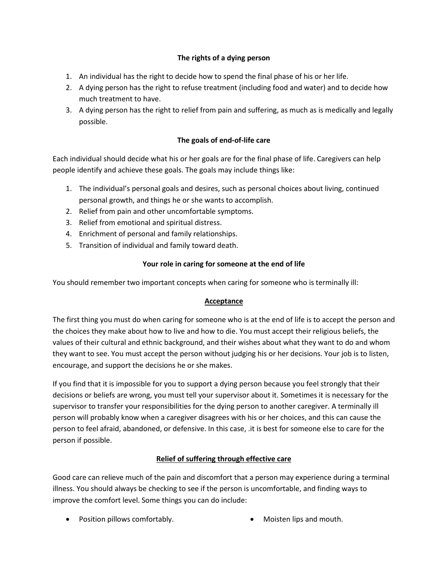# **The rights of a dying person**

- 1. An individual has the right to decide how to spend the final phase of his or her life.
- 2. A dying person has the right to refuse treatment (including food and water) and to decide how much treatment to have.
- 3. A dying person has the right to relief from pain and suffering, as much as is medically and legally possible.

# **The goals of end-of-life care**

Each individual should decide what his or her goals are for the final phase of life. Caregivers can help people identify and achieve these goals. The goals may include things like:

- 1. The individual's personal goals and desires, such as personal choices about living, continued personal growth, and things he or she wants to accomplish.
- 2. Relief from pain and other uncomfortable symptoms.
- 3. Relief from emotional and spiritual distress.
- 4. Enrichment of personal and family relationships.
- 5. Transition of individual and family toward death.

# **Your role in caring for someone at the end of life**

You should remember two important concepts when caring for someone who is terminally ill:

## **Acceptance**

The first thing you must do when caring for someone who is at the end of life is to accept the person and the choices they make about how to live and how to die. You must accept their religious beliefs, the values of their cultural and ethnic background, and their wishes about what they want to do and whom they want to see. You must accept the person without judging his or her decisions. Your job is to listen, encourage, and support the decisions he or she makes.

If you find that it is impossible for you to support a dying person because you feel strongly that their decisions or beliefs are wrong, you must tell your supervisor about it. Sometimes it is necessary for the supervisor to transfer your responsibilities for the dying person to another caregiver. A terminally ill person will probably know when a caregiver disagrees with his or her choices, and this can cause the person to feel afraid, abandoned, or defensive. In this case, .it is best for someone else to care for the person if possible.

## **Relief of suffering through effective care**

Good care can relieve much of the pain and discomfort that a person may experience during a terminal illness. You should always be checking to see if the person is uncomfortable, and finding ways to improve the comfort level. Some things you can do include:

• Position pillows comfortably. • Moisten lips and mouth.